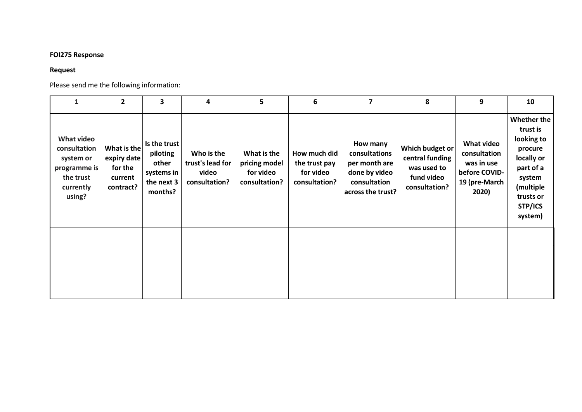## **FOI275 Response**

## **Request**

Please send me the following information:

| $\mathbf{1}$                                                                                | $\overline{2}$                                                | 3                                                                        | 4                                                        | 5                                                          | 6                                                           | 7                                                                                                | 8                                                                                | 9                                                                                          | 10                                                                                                                                           |
|---------------------------------------------------------------------------------------------|---------------------------------------------------------------|--------------------------------------------------------------------------|----------------------------------------------------------|------------------------------------------------------------|-------------------------------------------------------------|--------------------------------------------------------------------------------------------------|----------------------------------------------------------------------------------|--------------------------------------------------------------------------------------------|----------------------------------------------------------------------------------------------------------------------------------------------|
| What video<br>consultation<br>system or<br>programme is<br>the trust<br>currently<br>using? | What is the<br>expiry date<br>for the<br>current<br>contract? | Is the trust<br>piloting<br>other<br>systems in<br>the next 3<br>months? | Who is the<br>trust's lead for<br>video<br>consultation? | What is the<br>pricing model<br>for video<br>consultation? | How much did<br>the trust pay<br>for video<br>consultation? | How many<br>consultations<br>per month are<br>done by video<br>consultation<br>across the trust? | Which budget or<br>central funding<br>was used to<br>fund video<br>consultation? | <b>What video</b><br>consultation<br>was in use<br>before COVID-<br>19 (pre-March<br>2020) | <b>Whether the</b><br>trust is<br>looking to<br>procure<br>locally or<br>part of a<br>system<br>(multiple<br>trusts or<br>STP/ICS<br>system) |
|                                                                                             |                                                               |                                                                          |                                                          |                                                            |                                                             |                                                                                                  |                                                                                  |                                                                                            |                                                                                                                                              |